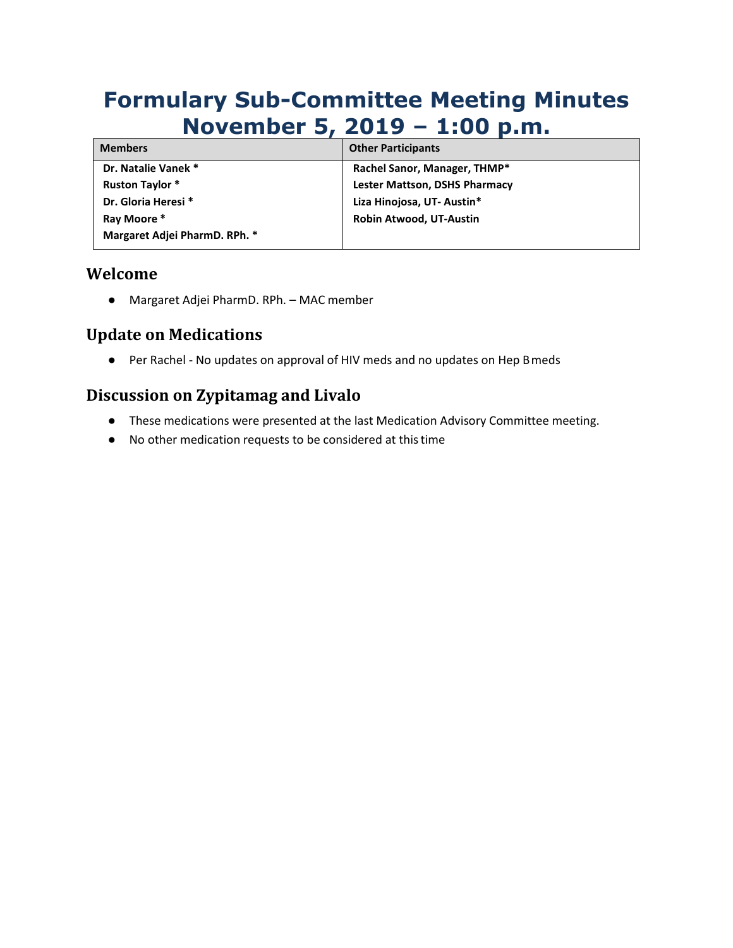# **Formulary Sub-Committee Meeting Minutes November 5, 2019 – 1:00 p.m.**

| <b>Members</b>                | <b>Other Participants</b>            |
|-------------------------------|--------------------------------------|
| Dr. Natalie Vanek *           | Rachel Sanor, Manager, THMP*         |
| <b>Ruston Taylor *</b>        | <b>Lester Mattson, DSHS Pharmacy</b> |
| Dr. Gloria Heresi *           | Liza Hinojosa, UT- Austin*           |
| Ray Moore *                   | Robin Atwood, UT-Austin              |
| Margaret Adjei PharmD. RPh. * |                                      |

#### **Welcome**

● Margaret Adjei PharmD. RPh. – MAC member

# **Update on Medications**

● Per Rachel - No updates on approval of HIV meds and no updates on Hep Bmeds

# **Discussion on Zypitamag and Livalo**

- These medications were presented at the last Medication Advisory Committee meeting.
- No other medication requests to be considered at thistime